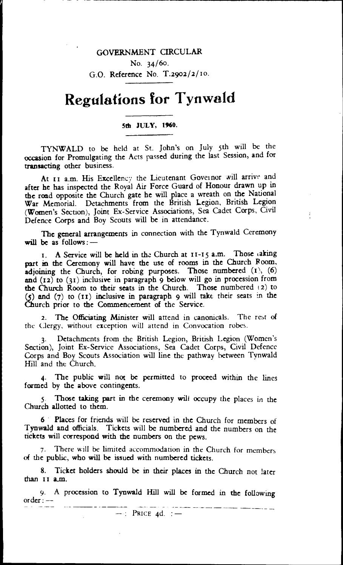## GOVERNMENT CIRCULAR

No. 34/60. G.O. Reference No. T.2902/2/1o.

## **Regulations for Tynwald**

## **5th JULY, 1%0.**

TYNWALD to be held at St. John's on July 5th will be the occasion for Promulgating the Acts passed during the last Session, and for transacting other business.

At t1 a.m. His Excellency the Lieutenant Governor will arrive and after he has inspected the Royal Air Force Guard of Honour drawn up in the road opposite the Church gate he will place a wreath on the National War Memorial. Detachments from the British Legion, British Legion (Women's Section), Joint Ex-Service Associations, Sea Cadet Corps, Civil Defence Corps and Boy Scouts will be in attendance.

 $\ddot{\cdot}$ 

The general arrangements in connection with the Tynwald Ceremony will be as follows:-

I. A Service will be held in the Church at 11-15 a.m. Those taking part in the Ceremony will have the use of rooms in the Church Room, adjoining the Church, for robing purposes. Those numbered **(t),** (6) and  $(12)$  to  $(31)$  inclusive in paragraph 9 below will go in procession from the Church Room to their seats in the Church. Those numbered (2) to (5) and (7) to (II) inclusive in paragraph 9 will take their seats in the Church prior to the Commencement of the Service.

2. The Officiating Minister will attend in canonicals. The rest of the Clergy, without exception will attend in Convocation robes.

3. Detachments from the British Legion, British Legion (Women's Section), Joint Ex-Service Associations, Sea Cadet Corps, Civil Defence Corps and Boy Scouts Association will line the pathway between Tynwald Hill and the Church.

4. The public will not be permitted to proceed within the lines formed by the above contingents.

5. Those taking part in the ceremony will occupy the places in the Church allotted to them.

6 • Places for friends will be reserved in the Church for members of Tynwald and officials. Tickets will be numbered and the numbers on the tickets will correspond with the numbers on the pews.

There will be limited accommodation in the Church for members of the public, who will be issued with numbered tickets.

8. Ticket holders should be in their places in the Church not later than II a.m.

9. A procession to Tynwald Hill will be formed in the following order :  $-$ 

 $-$ : Price 4d. :  $-$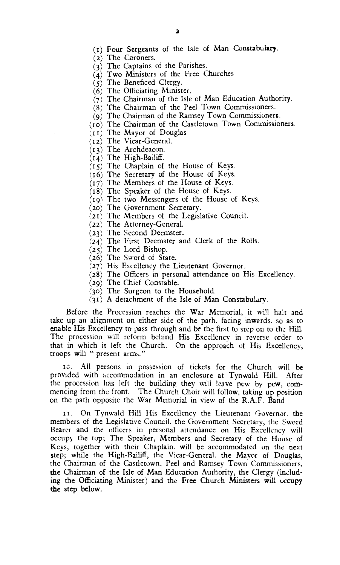- (t) Four Sergeants of the Isle of Man Constabulary.
- (2) The Coroners.
- (3) The Captains of the Parishes.
- (4) Two Ministers of the Free Churches
- $(5)$  The Beneficed Clergy.
- (6) The Officiating Minister.
- (7) The Chairman of the Isle of Man Education Authority.
- (8) The Chairman of the Peel Town Commissioners.
- (9) The Chairman of the Ramsey Town Commissioners.
- (to) The Chairman of the Castletown Town Commissioners.
- (i i) The Mayor of Douglas
- (i2) The Vicar-General.
- (i3) The Archdeacon.
- $(14)$  The High-Bailiff.
- (15) The Chaplain of the House of Keys.
- (16) The Secretary of the House of Keys.
- (i7) The Members of the House of Keys.
- (i8) The Speaker of the House of Keys.
- (t9) The two Messengers of the House of Keys.
- (2o) The Government Secretary.
- (2t) The Members of the Legislative Council.
- (22) The Attorney-General.
- (23) The Second Deemster.
- (24) The First Deemster and Clerk of the Rolls.
- (25) The Lord Bishop.
- (26) The Sword of State.
- (27) His Excellency the Lieutenant Governor.
- (28) The Officers in personal attendance on His Excellency.
- (29) The Chief Constable.
- (3o) The Surgeon to the Household.
- (31) A detachment of the Isle of Man Constabulary.

Before the Procession reaches the War Memorial, it will halt and take up an alignment on either side of the path, facing inwards, so as to enable His Excellency to pass through and be the first to step on to the Hill. The procession will reform behind His Excellency in reverse order to that in which it left the Church. On the approach of His Excellency, troops will " present arms."

lc. All persons in possession of tickets for the Church will be provided with accommodation in an enclosure at Tynwald Hill. After the procession has left the building they will leave pew by pew, commencing from the front. The Church Choir will follow, taking up position on the path opposite the War Memorial in view of the R.A.F. Band.

1. On Tynwald Hill His Excellency the Lieutenant Governor. the members of the Legislative Council, the Government Secretary, the Sword Bearer and the officers in personal attendance on His Excellency will occur)} the top; The Speaker, Members and Secretary of the House of Keys, together with their Chaplain, will be accommodated on the next step; while the High-Bailiff, the Vicar-General. the Mayor of Douglas, the Chairman of the Castletown, Peel and Ramsey Town Commissioners, the Chairman of the Isle **of Man Education Authority, the Clergy (including the Officiating Minister) and the Free Church Ministers will occupy the step below.**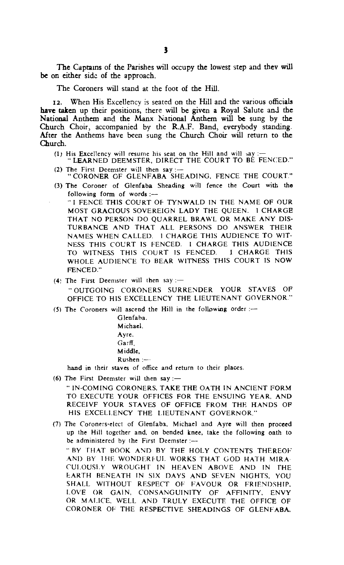**The** Captains of the Parishes will occupy the lowest step and they will be on either side of the approach.

The Coroners will stand at the foot of the Hill.

**12.** When His Excellency is seated on the Hill and the various officials **have taken** up their positions, there will be given a Royal Salute and the National Anthem and the Manx National Anthem will **be** sung by the Church Choir, accompanied by the R.A.F. Band, everybody standing. After the Anthems have been sung the Church Choir will return to the Church.

- (1) His Excellency will resume his seat on the Hill and will say :-
- "LEARNED DEEMSTER, DIRECT THE COURT TO BÉ FENCED." (2) The First Deemster will then say :-
- " CORONER OF GLENFABA SHEADING, FENCE THE COURT." (3) The Coroner of Glenfaba Sheading will fence the Court with the

following form of words :-" I FENCE THIS COURT OF TYNWALD IN THE NAME OF OUR MOST GRACIOUS SOVEREIGN LADY THE QUEEN. I CHARGE THAT NO PERSON DO QUARREL BRAWL OR MAKE ANY DIS-TURBANCE AND THAT ALL PERSONS DO ANSWER THEIR NAMES WHEN CALLED. I CHARGE THIS AUDIENCE TO WIT-NESS THIS COURT IS FENCED. I CHARGE THIS AUDIENCE<br>TO WITNESS THIS COURT IS FENCED. I CHARGE THIS TO WITNESS THIS COURT IS FENCED. WHOLE AUDIENCE TO BEAR WITNESS THIS COURT IS NOW FENCED."

(4) The First Deemster will then say :-" OUTGOING CORONERS SURRENDER YOUR STAVES OF OFFICE TO HIS EXCELLENCY THE LIEUTENANT GOVERNOR."

(5) The Coroners will ascend the Hill in the following order :-

Glenfaba. Michael, Ayre, Garff, Middle,  $R$ ushen :- $\cdots$ 

hand in their staves of office and return to their places.

(6) The First Deemster will then say :-

"IN-COMING CORONERS, TAKE THE OATH IN ANCIENT FORM TO EXECUTE YOUR OFFICES FOR THE ENSUING YEAR, AND RECEIVE YOUR STAVES OF OFFICE FROM THE HANDS OF HIS EXCELLENCY THE LIEUTENANT GOVERNOR."

(7) The Coroners-elect of Glenfaba, Michael and Ayre will then proceed up the Hill together and, on bended knee, take the following oath to be administered by the First Deemster :---" BY THAT BOOK AND BY THE HOLY CONTENTS THEREOF .AND BY 1HE WONDERFUL. WORKS THAT GOD HATH MIRA. CULOUSLY WROUGHT IN HEAVEN ABOVE AND IN THE EARTH BENEATH IN SIX DAYS AND SEVEN NIGHTS, YOU SHALL WITHOUT RESPECT OF FAVOUR OR FRIENDSHIP, LOVE OR GAIN, CONSANGUINITY OF AFFINITY, ENVY OR MALICE, WELL AND TRULY EXECUTE THE OFFICE OF CORONER OF THE RESPECTIVE SHEADINGS OF GLENFABA,